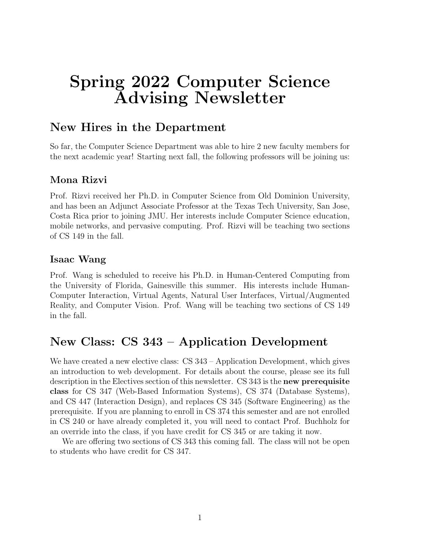# Spring 2022 Computer Science Advising Newsletter

### New Hires in the Department

So far, the Computer Science Department was able to hire 2 new faculty members for the next academic year! Starting next fall, the following professors will be joining us:

### Mona Rizvi

Prof. Rizvi received her Ph.D. in Computer Science from Old Dominion University, and has been an Adjunct Associate Professor at the Texas Tech University, San Jose, Costa Rica prior to joining JMU. Her interests include Computer Science education, mobile networks, and pervasive computing. Prof. Rizvi will be teaching two sections of CS 149 in the fall.

#### Isaac Wang

Prof. Wang is scheduled to receive his Ph.D. in Human-Centered Computing from the University of Florida, Gainesville this summer. His interests include Human-Computer Interaction, Virtual Agents, Natural User Interfaces, Virtual/Augmented Reality, and Computer Vision. Prof. Wang will be teaching two sections of CS 149 in the fall.

# New Class: CS 343 – Application Development

We have created a new elective class: CS 343 – Application Development, which gives an introduction to web development. For details about the course, please see its full description in the Electives section of this newsletter. CS 343 is the new prerequisite class for CS 347 (Web-Based Information Systems), CS 374 (Database Systems), and CS 447 (Interaction Design), and replaces CS 345 (Software Engineering) as the prerequisite. If you are planning to enroll in CS 374 this semester and are not enrolled in CS 240 or have already completed it, you will need to contact Prof. Buchholz for an override into the class, if you have credit for CS 345 or are taking it now.

We are offering two sections of CS 343 this coming fall. The class will not be open to students who have credit for CS 347.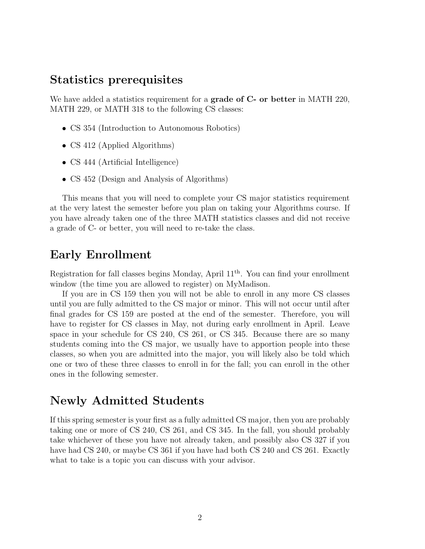### Statistics prerequisites

We have added a statistics requirement for a **grade of C- or better** in MATH 220, MATH 229, or MATH 318 to the following CS classes:

- CS 354 (Introduction to Autonomous Robotics)
- CS 412 (Applied Algorithms)
- CS 444 (Artificial Intelligence)
- CS 452 (Design and Analysis of Algorithms)

This means that you will need to complete your CS major statistics requirement at the very latest the semester before you plan on taking your Algorithms course. If you have already taken one of the three MATH statistics classes and did not receive a grade of C- or better, you will need to re-take the class.

### Early Enrollment

Registration for fall classes begins Monday, April 11th. You can find your enrollment window (the time you are allowed to register) on MyMadison.

If you are in CS 159 then you will not be able to enroll in any more CS classes until you are fully admitted to the CS major or minor. This will not occur until after final grades for CS 159 are posted at the end of the semester. Therefore, you will have to register for CS classes in May, not during early enrollment in April. Leave space in your schedule for CS 240, CS 261, or CS 345. Because there are so many students coming into the CS major, we usually have to apportion people into these classes, so when you are admitted into the major, you will likely also be told which one or two of these three classes to enroll in for the fall; you can enroll in the other ones in the following semester.

### Newly Admitted Students

If this spring semester is your first as a fully admitted CS major, then you are probably taking one or more of CS 240, CS 261, and CS 345. In the fall, you should probably take whichever of these you have not already taken, and possibly also CS 327 if you have had CS 240, or maybe CS 361 if you have had both CS 240 and CS 261. Exactly what to take is a topic you can discuss with your advisor.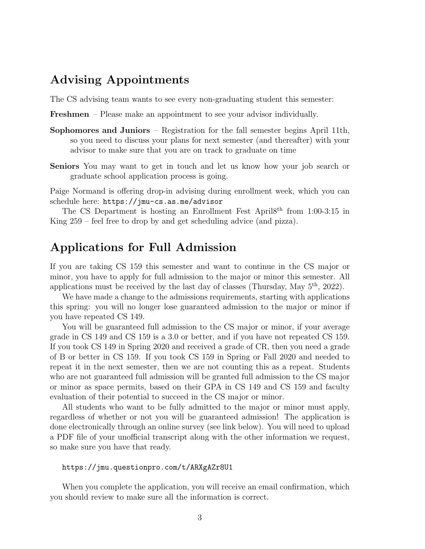### Advising Appointments

The CS advising team wants to see every non-graduating student this semester:

Freshmen – Please make an appointment to see your advisor individually.

- Sophomores and Juniors Registration for the fall semester begins April 11th, so you need to discuss your plans for next semester (and thereafter) with your advisor to make sure that you are on track to graduate on time
- Seniors You may want to get in touch and let us know how your job search or graduate school application process is going.

Paige Normand is offering drop-in advising during enrollment week, which you can schedule here: https://jmu-cs.as.me/advisor

The CS Department is hosting an Enrollment Fest April8th from 1:00-3:15 in King 259 – feel free to drop by and get scheduling advice (and pizza).

# Applications for Full Admission

If you are taking CS 159 this semester and want to continue in the CS major or minor, you have to apply for full admission to the major or minor this semester. All applications must be received by the last day of classes (Thursday, May  $5<sup>th</sup>$ , 2022).

We have made a change to the admissions requirements, starting with applications this spring: you will no longer lose guaranteed admission to the major or minor if you have repeated CS 149.

You will be guaranteed full admission to the CS major or minor, if your average grade in CS 149 and CS 159 is a 3.0 or better, and if you have not repeated CS 159. If you took CS 149 in Spring 2020 and received a grade of CR, then you need a grade of B or better in CS 159. If you took CS 159 in Spring or Fall 2020 and needed to repeat it in the next semester, then we are not counting this as a repeat. Students who are not guaranteed full admission will be granted full admission to the CS major or minor as space permits, based on their GPA in CS 149 and CS 159 and faculty evaluation of their potential to succeed in the CS major or minor.

All students who want to be fully admitted to the major or minor must apply, regardless of whether or not you will be guaranteed admission! The application is done electronically through an online survey (see link below). You will need to upload a PDF file of your unofficial transcript along with the other information we request, so make sure you have that ready.

#### https://jmu.questionpro.com/t/ARXgAZr8U1

When you complete the application, you will receive an email confirmation, which you should review to make sure all the information is correct.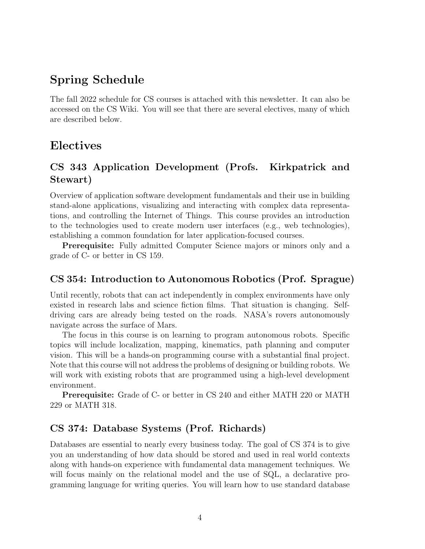## Spring Schedule

The fall 2022 schedule for CS courses is attached with this newsletter. It can also be accessed on the CS Wiki. You will see that there are several electives, many of which are described below.

### Electives

### CS 343 Application Development (Profs. Kirkpatrick and Stewart)

Overview of application software development fundamentals and their use in building stand-alone applications, visualizing and interacting with complex data representations, and controlling the Internet of Things. This course provides an introduction to the technologies used to create modern user interfaces (e.g., web technologies), establishing a common foundation for later application-focused courses.

Prerequisite: Fully admitted Computer Science majors or minors only and a grade of C- or better in CS 159.

### CS 354: Introduction to Autonomous Robotics (Prof. Sprague)

Until recently, robots that can act independently in complex environments have only existed in research labs and science fiction films. That situation is changing. Selfdriving cars are already being tested on the roads. NASA's rovers autonomously navigate across the surface of Mars.

The focus in this course is on learning to program autonomous robots. Specific topics will include localization, mapping, kinematics, path planning and computer vision. This will be a hands-on programming course with a substantial final project. Note that this course will not address the problems of designing or building robots. We will work with existing robots that are programmed using a high-level development environment.

Prerequisite: Grade of C- or better in CS 240 and either MATH 220 or MATH 229 or MATH 318.

### CS 374: Database Systems (Prof. Richards)

Databases are essential to nearly every business today. The goal of CS 374 is to give you an understanding of how data should be stored and used in real world contexts along with hands-on experience with fundamental data management techniques. We will focus mainly on the relational model and the use of SQL, a declarative programming language for writing queries. You will learn how to use standard database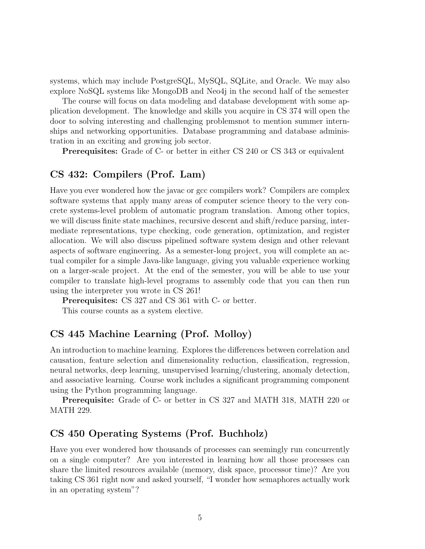systems, which may include PostgreSQL, MySQL, SQLite, and Oracle. We may also explore NoSQL systems like MongoDB and Neo4j in the second half of the semester

The course will focus on data modeling and database development with some application development. The knowledge and skills you acquire in CS 374 will open the door to solving interesting and challenging problemsnot to mention summer internships and networking opportunities. Database programming and database administration in an exciting and growing job sector.

Prerequisites: Grade of C- or better in either CS 240 or CS 343 or equivalent

#### CS 432: Compilers (Prof. Lam)

Have you ever wondered how the javac or gcc compilers work? Compilers are complex software systems that apply many areas of computer science theory to the very concrete systems-level problem of automatic program translation. Among other topics, we will discuss finite state machines, recursive descent and shift/reduce parsing, intermediate representations, type checking, code generation, optimization, and register allocation. We will also discuss pipelined software system design and other relevant aspects of software engineering. As a semester-long project, you will complete an actual compiler for a simple Java-like language, giving you valuable experience working on a larger-scale project. At the end of the semester, you will be able to use your compiler to translate high-level programs to assembly code that you can then run using the interpreter you wrote in CS 261!

Prerequisites: CS 327 and CS 361 with C- or better.

This course counts as a system elective.

### CS 445 Machine Learning (Prof. Molloy)

An introduction to machine learning. Explores the differences between correlation and causation, feature selection and dimensionality reduction, classification, regression, neural networks, deep learning, unsupervised learning/clustering, anomaly detection, and associative learning. Course work includes a significant programming component using the Python programming language.

Prerequisite: Grade of C- or better in CS 327 and MATH 318, MATH 220 or MATH 229.

#### CS 450 Operating Systems (Prof. Buchholz)

Have you ever wondered how thousands of processes can seemingly run concurrently on a single computer? Are you interested in learning how all those processes can share the limited resources available (memory, disk space, processor time)? Are you taking CS 361 right now and asked yourself, "I wonder how semaphores actually work in an operating system"?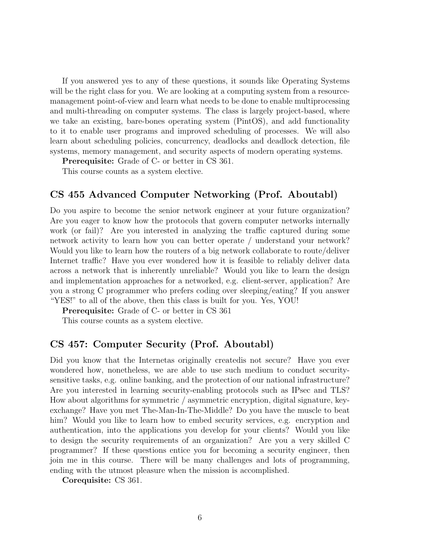If you answered yes to any of these questions, it sounds like Operating Systems will be the right class for you. We are looking at a computing system from a resourcemanagement point-of-view and learn what needs to be done to enable multiprocessing and multi-threading on computer systems. The class is largely project-based, where we take an existing, bare-bones operating system (PintOS), and add functionality to it to enable user programs and improved scheduling of processes. We will also learn about scheduling policies, concurrency, deadlocks and deadlock detection, file systems, memory management, and security aspects of modern operating systems.

Prerequisite: Grade of C- or better in CS 361.

This course counts as a system elective.

#### CS 455 Advanced Computer Networking (Prof. Aboutabl)

Do you aspire to become the senior network engineer at your future organization? Are you eager to know how the protocols that govern computer networks internally work (or fail)? Are you interested in analyzing the traffic captured during some network activity to learn how you can better operate / understand your network? Would you like to learn how the routers of a big network collaborate to route/deliver Internet traffic? Have you ever wondered how it is feasible to reliably deliver data across a network that is inherently unreliable? Would you like to learn the design and implementation approaches for a networked, e.g. client-server, application? Are you a strong C programmer who prefers coding over sleeping/eating? If you answer "YES!" to all of the above, then this class is built for you. Yes, YOU!

Prerequisite: Grade of C- or better in CS 361

This course counts as a system elective.

#### CS 457: Computer Security (Prof. Aboutabl)

Did you know that the Internetas originally createdis not secure? Have you ever wondered how, nonetheless, we are able to use such medium to conduct securitysensitive tasks, e.g. online banking, and the protection of our national infrastructure? Are you interested in learning security-enabling protocols such as IPsec and TLS? How about algorithms for symmetric / asymmetric encryption, digital signature, keyexchange? Have you met The-Man-In-The-Middle? Do you have the muscle to beat him? Would you like to learn how to embed security services, e.g. encryption and authentication, into the applications you develop for your clients? Would you like to design the security requirements of an organization? Are you a very skilled C programmer? If these questions entice you for becoming a security engineer, then join me in this course. There will be many challenges and lots of programming, ending with the utmost pleasure when the mission is accomplished.

Corequisite: CS 361.